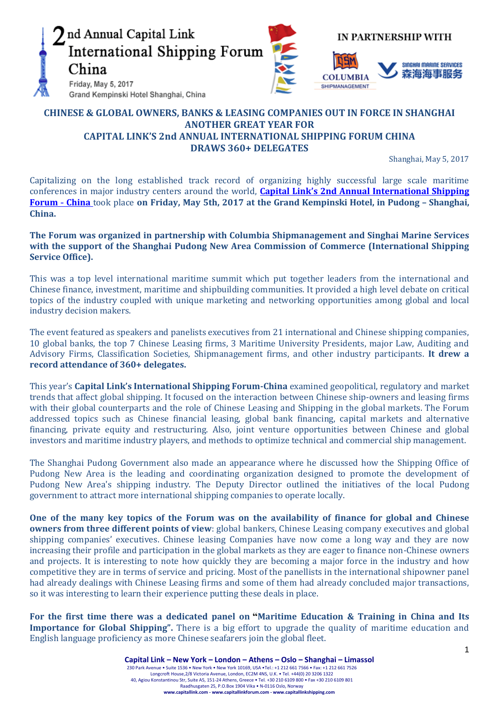

# **CHINESE & GLOBAL OWNERS, BANKS & LEASING COMPANIES OUT IN FORCE IN SHANGHAI ANOTHER GREAT YEAR FOR CAPITAL LINK'S 2nd ANNUAL INTERNATIONAL SHIPPING FORUM CHINA DRAWS 360+ DELEGATES**

Shanghai, May 5, 2017

Capitalizing on the long established track record of organizing highly successful large scale maritime conferences in major industry centers around the world, **Capital Link's 2nd [Annual International Shipping](http://forums.capitallink.com/shipping/2016newyork/)  [Forum](http://forums.capitallink.com/shipping/2016newyork/)** - **China** took place **on Friday, May 5th, 2017 at the Grand Kempinski Hotel, in Pudong – Shanghai, China.** 

**The Forum was organized in partnership with Columbia Shipmanagement and Singhai Marine Services with the support of the Shanghai Pudong New Area Commission of Commerce (International Shipping Service Office).**

This was a top level international maritime summit which put together leaders from the international and Chinese finance, investment, maritime and shipbuilding communities. It provided a high level debate on critical topics of the industry coupled with unique marketing and networking opportunities among global and local industry decision makers.

The event featured as speakers and panelists executives from 21 international and Chinese shipping companies, 10 global banks, the top 7 Chinese Leasing firms, 3 Maritime University Presidents, major Law, Auditing and Advisory Firms, Classification Societies, Shipmanagement firms, and other industry participants. **It drew a record attendance of 360+ delegates.**

This year's **Capital Link's International Shipping Forum-China** examined geopolitical, regulatory and market trends that affect global shipping. It focused on the interaction between Chinese ship-owners and leasing firms with their global counterparts and the role of Chinese Leasing and Shipping in the global markets. The Forum addressed topics such as Chinese financial leasing, global bank financing, capital markets and alternative financing, private equity and restructuring. Also, joint venture opportunities between Chinese and global investors and maritime industry players, and methods to optimize technical and commercial ship management.

The Shanghai Pudong Government also made an appearance where he discussed how the Shipping Office of Pudong New Area is the leading and coordinating organization designed to promote the development of Pudong New Area's shipping industry. The Deputy Director outlined the initiatives of the local Pudong government to attract more international shipping companies to operate locally.

**One of the many key topics of the Forum was on the availability of finance for global and Chinese owners from three different points of view**: global bankers, Chinese Leasing company executives and global shipping companies' executives. Chinese leasing Companies have now come a long way and they are now increasing their profile and participation in the global markets as they are eager to finance non-Chinese owners and projects. It is interesting to note how quickly they are becoming a major force in the industry and how competitive they are in terms of service and pricing. Most of the panellists in the international shipowner panel had already dealings with Chinese Leasing firms and some of them had already concluded major transactions, so it was interesting to learn their experience putting these deals in place.

**For the first time there was a dedicated panel on "Maritime Education & Training in China and Its Importance for Global Shipping".** There is a big effort to upgrade the quality of maritime education and English language proficiency as more Chinese seafarers join the global fleet.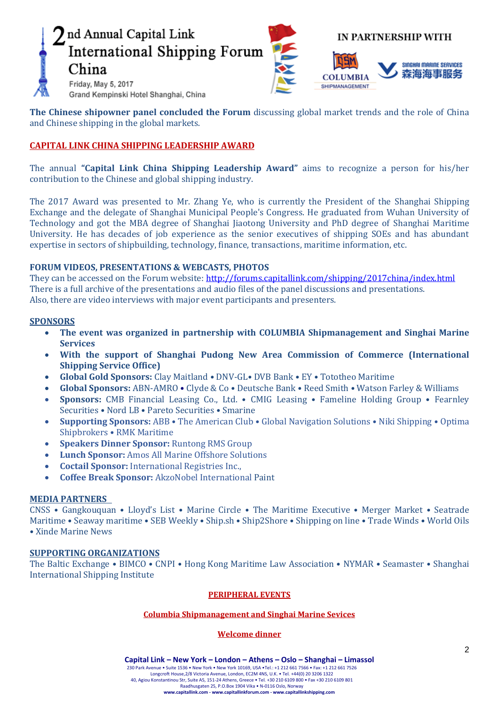# nd Annual Capital Link International Shipping Forum China Friday, May 5, 2017

**IN PARTNERSHIP WITH** 



Grand Kempinski Hotel Shanghai, China

**The Chinese shipowner panel concluded the Forum** discussing global market trends and the role of China and Chinese shipping in the global markets.

# **CAPITAL LINK CHINA SHIPPING LEADERSHIP AWARD**

The annual **"Capital Link China Shipping Leadership Award"** aims to recognize a person for his/her contribution to the Chinese and global shipping industry.

The 2017 Award was presented to Mr. Zhang Ye, who is currently the President of the Shanghai Shipping Exchange and the delegate of Shanghai Municipal People's Congress. He graduated from Wuhan University of Technology and got the MBA degree of Shanghai Jiaotong University and PhD degree of Shanghai Maritime University. He has decades of job experience as the senior executives of shipping SOEs and has abundant expertise in sectors of shipbuilding, technology, finance, transactions, maritime information, etc.

## **FORUM VIDEOS, PRESENTATIONS & WEBCASTS, PHOTOS**

They can be accessed on the Forum website:<http://forums.capitallink.com/shipping/2017china/index.html> There is a full archive of the presentations and audio files of the panel discussions and presentations. Also, there are video interviews with major event participants and presenters.

## **SPONSORS**

- **The event was organized in partnership with COLUMBIA Shipmanagement and Singhai Marine Services**
- **With the support of Shanghai Pudong New Area Commission of Commerce (International Shipping Service Office)**
- **Global Gold Sponsors:** Clay Maitland DNV-GL• DVB Bank EY Tototheo Maritime
- **Global Sponsors:** ABN-AMRO Clyde & Co Deutsche Bank Reed Smith Watson Farley & Williams
- **Sponsors:** CMB Financial Leasing Co., Ltd. CMIG Leasing Fameline Holding Group Fearnley Securities • Nord LB • Pareto Securities • Smarine
- **Supporting Sponsors:** ABB The American Club Global Navigation Solutions Niki Shipping Optima Shipbrokers • RMK Maritime
- **Speakers Dinner Sponsor:** Runtong RMS Group
- **Lunch Sponsor:** Amos All Marine Offshore Solutions
- **Coctail Sponsor:** International Registries Inc.,
- **Coffee Break Sponsor:** AkzoNobel International Paint

## **MEDIA PARTNERS**

CNSS • Gangkouquan • Lloyd's List • Marine Circle • The Maritime Executive • Merger Market • Seatrade Maritime • Seaway maritime • SEB Weekly • Ship.sh • Ship2Shore • Shipping on line • Trade Winds • World Oils • Xinde Marine News

## **SUPPORTING ORGANIZATIONS**

The Baltic Exchange • BIMCO • CNPI • Hong Kong Maritime Law Association • NYMAR • Seamaster • Shanghai International Shipping Institute

#### **PERIPHERAL EVENTS**

## **Columbia Shipmanagement and Singhai Marine Sevices**

## **Welcome dinner**

**Capital Link – New York – London – Athens – Oslo – Shanghai – Limassol**